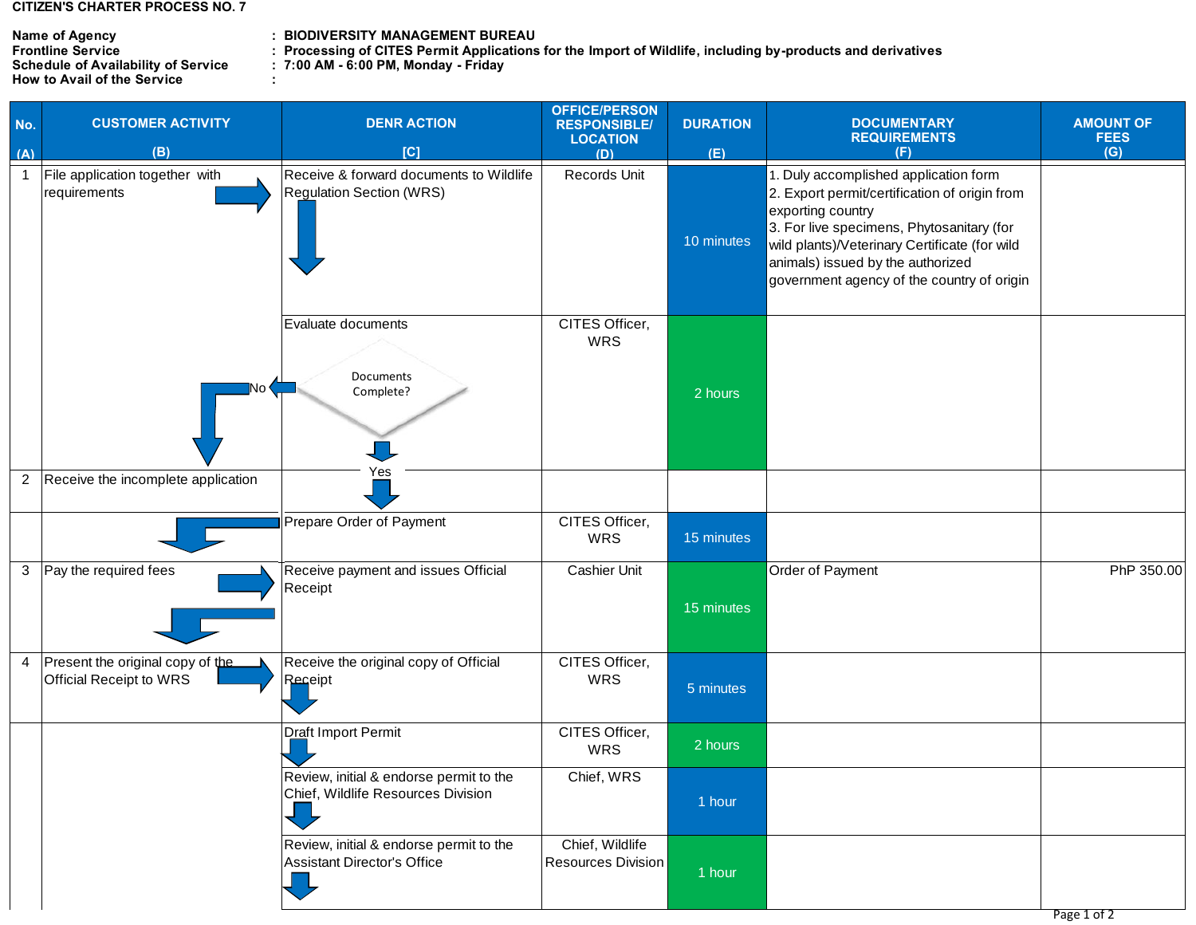## **CITIZEN'S CHARTER PROCESS NO. 7**

## **Name of Agency<br>Frontline Service<br>Schedule of Availability of Service<br>How to Avail of the Service**

## **: Name of Agency BIODIVERSITY MANAGEMENT BUREAU**

**: Frontline Service Processing of CITES Permit Applications for the Import of Wildlife, including by-products and derivatives**

**: : Schedule of Availability of Service 7:00 AM - 6:00 PM, Monday - Friday** 

| No.          | <b>CUSTOMER ACTIVITY</b>                                             | <b>DENR ACTION</b>                                                            | <b>OFFICE/PERSON</b><br><b>RESPONSIBLE/</b><br><b>LOCATION</b> | <b>DURATION</b> | <b>DOCUMENTARY</b><br><b>REQUIREMENTS</b>                                                                                                                                                                                                                                                    | <b>AMOUNT OF</b><br><b>FEES</b> |
|--------------|----------------------------------------------------------------------|-------------------------------------------------------------------------------|----------------------------------------------------------------|-----------------|----------------------------------------------------------------------------------------------------------------------------------------------------------------------------------------------------------------------------------------------------------------------------------------------|---------------------------------|
| (A)          | (B)                                                                  | [C]                                                                           | (D)                                                            | (E)             | (F)                                                                                                                                                                                                                                                                                          | (G)                             |
| $\mathbf{1}$ | File application together with<br>requirements                       | Receive & forward documents to Wildlife<br><b>Regulation Section (WRS)</b>    | Records Unit                                                   | 10 minutes      | 1. Duly accomplished application form<br>2. Export permit/certification of origin from<br>exporting country<br>3. For live specimens, Phytosanitary (for<br>wild plants)/Veterinary Certificate (for wild<br>animals) issued by the authorized<br>government agency of the country of origin |                                 |
|              |                                                                      | Evaluate documents<br>Documents<br>Complete?                                  | CITES Officer,<br><b>WRS</b>                                   | 2 hours         |                                                                                                                                                                                                                                                                                              |                                 |
|              | 2 Receive the incomplete application                                 | Yes                                                                           |                                                                |                 |                                                                                                                                                                                                                                                                                              |                                 |
|              |                                                                      | Prepare Order of Payment                                                      | CITES Officer,<br><b>WRS</b>                                   | 15 minutes      |                                                                                                                                                                                                                                                                                              |                                 |
|              | 3 Pay the required fees                                              | Receive payment and issues Official<br>Receipt                                | <b>Cashier Unit</b>                                            | 15 minutes      | Order of Payment                                                                                                                                                                                                                                                                             | PhP 350.00                      |
|              | 4 Present the original copy of the<br><b>Official Receipt to WRS</b> | Receive the original copy of Official<br>Receipt                              | CITES Officer,<br><b>WRS</b>                                   | 5 minutes       |                                                                                                                                                                                                                                                                                              |                                 |
|              |                                                                      | Draft Import Permit                                                           | CITES Officer,<br>WRS                                          | 2 hours         |                                                                                                                                                                                                                                                                                              |                                 |
|              |                                                                      | Review, initial & endorse permit to the<br>Chief, Wildlife Resources Division | Chief, WRS                                                     | 1 hour          |                                                                                                                                                                                                                                                                                              |                                 |
|              |                                                                      | Review, initial & endorse permit to the<br>Assistant Director's Office<br>Ų,  | Chief, Wildlife<br>Resources Division                          | 1 hour          |                                                                                                                                                                                                                                                                                              |                                 |